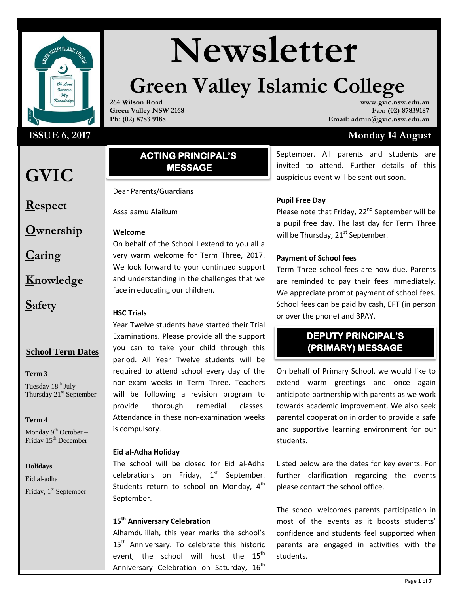

#### **ISSUE 6, 2017**

## **GVIC**

**Respect**

**Ownership**

**Caring**

**Knowledge**

**Safety**

#### **School Term Dates**

#### **Term 3**

Tuesday  $18^{th}$  July – Thursday  $21<sup>st</sup>$  September

#### **Term 4**

Monday  $9^{th}$  October – Friday 15<sup>th</sup> December

#### **Holidays**

Eid al-adha Friday, 1<sup>st</sup> September

# Wewsletter

## **Green Valley Islamic College**

**264 Wilson Road Green Valley NSW 2168 Ph: (02) 8783 9188**

**www.gvic.nsw.edu.au Fax: (02) 87839187 Email: admin@gvic.nsw.edu.au**

#### **Monday 14 August**

#### **ACTING PRINCIPAL'S MESSAGE**

Dear Parents/Guardians

Assalaamu Alaikum

#### **Welcome**

On behalf of the School I extend to you all a very warm welcome for Term Three, 2017. We look forward to your continued support and understanding in the challenges that we face in educating our children.

#### **HSC Trials**

Year Twelve students have started their Trial Examinations. Please provide all the support you can to take your child through this period. All Year Twelve students will be required to attend school every day of the non-exam weeks in Term Three. Teachers will be following a revision program to provide thorough remedial classes. Attendance in these non-examination weeks is compulsory.

#### **Eid al-Adha Holiday**

The school will be closed for Eid al-Adha celebrations on Friday,  $1<sup>st</sup>$  September. Students return to school on Monday,  $4<sup>th</sup>$ September.

#### **15th Anniversary Celebration**

Alhamdulillah, this year marks the school's 15<sup>th</sup> Anniversary. To celebrate this historic event, the school will host the  $15^{th}$ Anniversary Celebration on Saturday,  $16<sup>th</sup>$  September. All parents and students are invited to attend. Further details of this auspicious event will be sent out soon.

#### **Pupil Free Day**

Please note that Friday, 22<sup>nd</sup> September will be a pupil free day. The last day for Term Three will be Thursday,  $21^{st}$  September.

#### **Payment of School fees**

Term Three school fees are now due. Parents are reminded to pay their fees immediately. We appreciate prompt payment of school fees. School fees can be paid by cash, EFT (in person or over the phone) and BPAY.

#### **DEPUTY PRINCIPAL'S (PRIMARY) MESSAGE**

On behalf of Primary School, we would like to extend warm greetings and once again anticipate partnership with parents as we work towards academic improvement. We also seek parental cooperation in order to provide a safe and supportive learning environment for our students.

Listed below are the dates for key events. For further clarification regarding the events please contact the school office.

The school welcomes parents participation in most of the events as it boosts students' confidence and students feel supported when parents are engaged in activities with the students.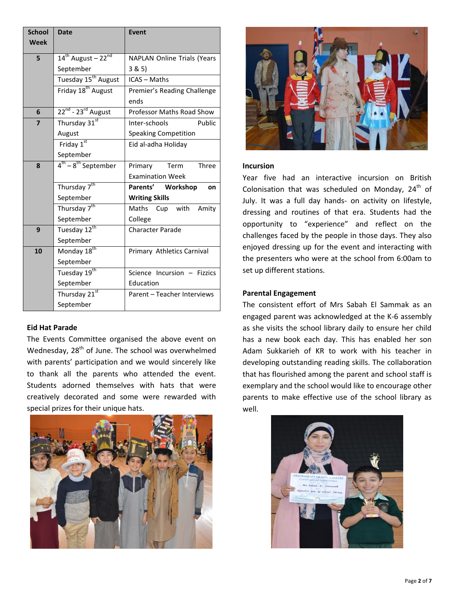| <b>School</b> | <b>Date</b>                                | <b>Event</b>                       |  |  |
|---------------|--------------------------------------------|------------------------------------|--|--|
| Week          |                                            |                                    |  |  |
| 5             | $14^{\text{th}}$ August – 22 <sup>nd</sup> | <b>NAPLAN Online Trials (Years</b> |  |  |
|               | September                                  | 3 & 5)                             |  |  |
|               | Tuesday 15 <sup>th</sup> August            | <b>ICAS - Maths</b>                |  |  |
|               | Friday 18 <sup>th</sup> August             | Premier's Reading Challenge        |  |  |
|               |                                            | ends                               |  |  |
| 6             | $22^{nd}$ - $23^{rd}$ August               | <b>Professor Maths Road Show</b>   |  |  |
| 7             | Thursday 31st                              | Public<br>Inter-schools            |  |  |
|               | August                                     | <b>Speaking Competition</b>        |  |  |
|               | Friday 1st                                 | Eid al-adha Holiday                |  |  |
|               | September                                  |                                    |  |  |
| 8             | $4^{th} - 8^{th}$ September                | Three<br>Primary<br>Term           |  |  |
|               |                                            | <b>Examination Week</b>            |  |  |
|               | Thursday 7 <sup>th</sup>                   | Parents' Workshop<br><b>on</b>     |  |  |
|               | September                                  | <b>Writing Skills</b>              |  |  |
|               | Thursday 7 <sup>th</sup>                   | Maths Cup with Amity               |  |  |
|               | September                                  | College                            |  |  |
| 9             | Tuesday 12 <sup>th</sup>                   | <b>Character Parade</b>            |  |  |
|               | September                                  |                                    |  |  |
| 10            | Monday 18 <sup>th</sup>                    | Primary Athletics Carnival         |  |  |
|               | September                                  |                                    |  |  |
|               | Tuesday 19 <sup>th</sup>                   | Science Incursion - Fizzics        |  |  |
|               | September                                  | Education                          |  |  |
|               | Thursday 21st                              | Parent - Teacher Interviews        |  |  |
|               | September                                  |                                    |  |  |

#### **Eid Hat Parade**

The Events Committee organised the above event on Wednesday, 28<sup>th</sup> of June. The school was overwhelmed with parents' participation and we would sincerely like to thank all the parents who attended the event. Students adorned themselves with hats that were creatively decorated and some were rewarded with special prizes for their unique hats.





#### **Incursion**

Year five had an interactive incursion on British Colonisation that was scheduled on Monday,  $24<sup>th</sup>$  of July. It was a full day hands- on activity on lifestyle, dressing and routines of that era. Students had the opportunity to "experience" and reflect on the challenges faced by the people in those days. They also enjoyed dressing up for the event and interacting with the presenters who were at the school from 6:00am to set up different stations.

#### **Parental Engagement**

The consistent effort of Mrs Sabah El Sammak as an engaged parent was acknowledged at the K-6 assembly as she visits the school library daily to ensure her child has a new book each day. This has enabled her son Adam Sukkarieh of KR to work with his teacher in developing outstanding reading skills. The collaboration that has flourished among the parent and school staff is exemplary and the school would like to encourage other parents to make effective use of the school library as well.

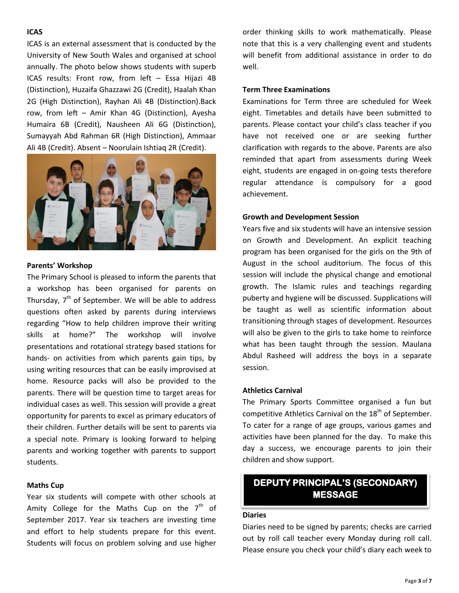#### **ICAS**

ICAS is an external assessment that is conducted by the University of New South Wales and organised at school annually. The photo below shows students with superb ICAS results: Front row, from left – Essa Hijazi 4B (Distinction), Huzaifa Ghazzawi 2G (Credit), Haalah Khan 2G (High Distinction), Rayhan Ali 4B (Distinction).Back row, from left – Amir Khan 4G (Distinction), Ayesha Humaira 6B (Credit), Nausheen Ali 6G (Distinction), Sumayyah Abd Rahman 6R (High Distinction), Ammaar Ali 4B (Credit). Absent – Noorulain Ishtiaq 2R (Credit).



#### **Parents' Workshop**

The Primary School is pleased to inform the parents that a workshop has been organised for parents on Thursday, 7<sup>th</sup> of September. We will be able to address questions often asked by parents during interviews regarding "How to help children improve their writing skills at home?" The workshop will involve presentations and rotational strategy based stations for hands- on activities from which parents gain tips, by using writing resources that can be easily improvised at home. Resource packs will also be provided to the parents. There will be question time to target areas for individual cases as well. This session will provide a great opportunity for parents to excel as primary educators of their children. Further details will be sent to parents via a special note. Primary is looking forward to helping parents and working together with parents to support students.

#### **Maths Cup**

Year six students will compete with other schools at Amity College for the Maths Cup on the  $7<sup>th</sup>$  of September 2017. Year six teachers are investing time and effort to help students prepare for this event. Students will focus on problem solving and use higher

order thinking skills to work mathematically. Please note that this is a very challenging event and students will benefit from additional assistance in order to do well.

#### **Term Three Examinations**

Examinations for Term three are scheduled for Week eight. Timetables and details have been submitted to parents. Please contact your child's class teacher if you have not received one or are seeking further clarification with regards to the above. Parents are also reminded that apart from assessments during Week eight, students are engaged in on-going tests therefore regular attendance is compulsory for a good achievement.

#### **Growth and Development Session**

Years five and six students will have an intensive session on Growth and Development. An explicit teaching program has been organised for the girls on the 9th of August in the school auditorium. The focus of this session will include the physical change and emotional growth. The Islamic rules and teachings regarding puberty and hygiene will be discussed. Supplications will be taught as well as scientific information about transitioning through stages of development. Resources will also be given to the girls to take home to reinforce what has been taught through the session. Maulana Abdul Rasheed will address the boys in a separate session.

#### **Athletics Carnival**

The Primary Sports Committee organised a fun but competitive Athletics Carnival on the  $18<sup>th</sup>$  of September. To cater for a range of age groups, various games and activities have been planned for the day. To make this day a success, we encourage parents to join their children and show support.

#### **DEPUTY PRINCIPAL'S (SECONDARY) MESSAGE**

#### **Diaries**

Diaries need to be signed by parents; checks are carried out by roll call teacher every Monday during roll call. Please ensure you check your child's diary each week to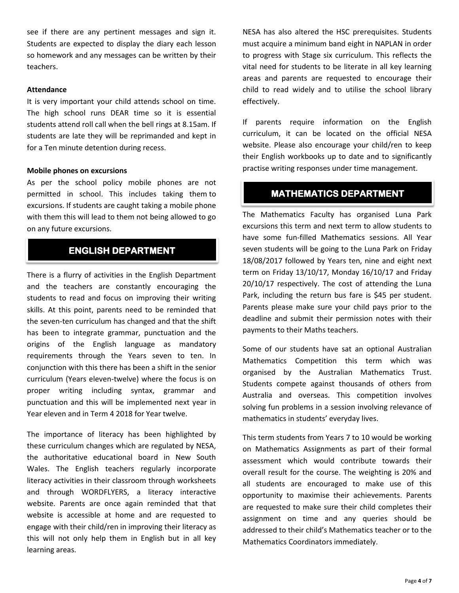see if there are any pertinent messages and sign it. Students are expected to display the diary each lesson so homework and any messages can be written by their teachers.

#### **Attendance**

It is very important your child attends school on time. The high school runs DEAR time so it is essential students attend roll call when the bell rings at 8.15am. If students are late they will be reprimanded and kept in for a Ten minute detention during recess.

#### **Mobile phones on excursions**

As per the school policy mobile phones are not permitted in school. This includes taking them to excursions. If students are caught taking a mobile phone with them this will lead to them not being allowed to go on any future excursions.

#### **ENGLISH DEPARTMENT**

There is a flurry of activities in the English Department and the teachers are constantly encouraging the students to read and focus on improving their writing skills. At this point, parents need to be reminded that the seven-ten curriculum has changed and that the shift has been to integrate grammar, punctuation and the origins of the English language as mandatory requirements through the Years seven to ten. In conjunction with this there has been a shift in the senior curriculum (Years eleven-twelve) where the focus is on proper writing including syntax, grammar and punctuation and this will be implemented next year in Year eleven and in Term 4 2018 for Year twelve.

The importance of literacy has been highlighted by these curriculum changes which are regulated by NESA, the authoritative educational board in New South Wales. The English teachers regularly incorporate literacy activities in their classroom through worksheets and through WORDFLYERS, a literacy interactive website. Parents are once again reminded that that website is accessible at home and are requested to engage with their child/ren in improving their literacy as this will not only help them in English but in all key learning areas.

NESA has also altered the HSC prerequisites. Students must acquire a minimum band eight in NAPLAN in order to progress with Stage six curriculum. This reflects the vital need for students to be literate in all key learning areas and parents are requested to encourage their child to read widely and to utilise the school library effectively.

If parents require information on the English curriculum, it can be located on the official NESA website. Please also encourage your child/ren to keep their English workbooks up to date and to significantly practise writing responses under time management.

#### **MATHEMATICS DEPARTMENT**

The Mathematics Faculty has organised Luna Park excursions this term and next term to allow students to have some fun-filled Mathematics sessions. All Year seven students will be going to the Luna Park on Friday 18/08/2017 followed by Years ten, nine and eight next term on Friday 13/10/17, Monday 16/10/17 and Friday 20/10/17 respectively. The cost of attending the Luna Park, including the return bus fare is \$45 per student. Parents please make sure your child pays prior to the deadline and submit their permission notes with their payments to their Maths teachers.

Some of our students have sat an optional Australian Mathematics Competition this term which was organised by the Australian Mathematics Trust. Students compete against thousands of others from Australia and overseas. This competition involves solving fun problems in a session involving relevance of mathematics in students' everyday lives.

This term students from Years 7 to 10 would be working on Mathematics Assignments as part of their formal assessment which would contribute towards their overall result for the course. The weighting is 20% and all students are encouraged to make use of this opportunity to maximise their achievements. Parents are requested to make sure their child completes their assignment on time and any queries should be addressed to their child's Mathematics teacher or to the Mathematics Coordinators immediately.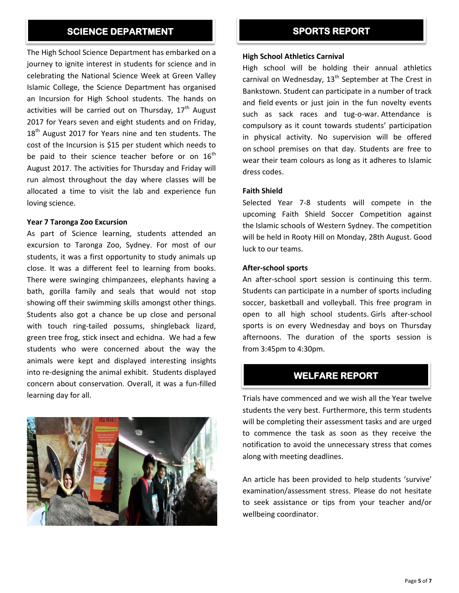#### SCIENCE DEPARTMENT **SPORTS REPORT**

The High School Science Department has embarked on a journey to ignite interest in students for science and in celebrating the National Science Week at Green Valley Islamic College, the Science Department has organised an Incursion for High School students. The hands on activities will be carried out on Thursday,  $17<sup>th</sup>$  August 2017 for Years seven and eight students and on Friday,  $18<sup>th</sup>$  August 2017 for Years nine and ten students. The cost of the Incursion is \$15 per student which needs to be paid to their science teacher before or on  $16<sup>th</sup>$ August 2017. The activities for Thursday and Friday will run almost throughout the day where classes will be allocated a time to visit the lab and experience fun loving science.

#### **Year 7 Taronga Zoo Excursion**

As part of Science learning, students attended an excursion to Taronga Zoo, Sydney. For most of our students, it was a first opportunity to study animals up close. It was a different feel to learning from books. There were swinging chimpanzees, elephants having a bath, gorilla family and seals that would not stop showing off their swimming skills amongst other things. Students also got a chance be up close and personal with touch ring-tailed possums, shingleback lizard, green tree frog, stick insect and echidna. We had a few students who were concerned about the way the animals were kept and displayed interesting insights into re-designing the animal exhibit. Students displayed concern about conservation. Overall, it was a fun-filled learning day for all.



#### **High School Athletics Carnival**

High school will be holding their annual athletics carnival on Wednesday,  $13<sup>th</sup>$  September at The Crest in Bankstown. Student can participate in a number of track and field events or just join in the fun novelty events such as sack races and tug-o-war. Attendance is compulsory as it count towards students' participation in physical activity. No supervision will be offered on school premises on that day. Students are free to wear their team colours as long as it adheres to Islamic dress codes.

#### **Faith Shield**

Selected Year 7-8 students will compete in the upcoming Faith Shield Soccer Competition against the Islamic schools of Western Sydney. The competition will be held in Rooty Hill on Monday, 28th August. Good luck to our teams.

#### **After-school sports**

 $\overline{\phantom{a}}$ 

An after-school sport session is continuing this term. Students can participate in a number of sports including soccer, basketball and volleyball. This free program in open to all high school students. Girls after-school sports is on every Wednesday and boys on Thursday afternoons. The duration of the sports session is from 3:45pm to 4:30pm.

#### **WELFARE REPORT**

Trials have commenced and we wish all the Year twelve students the very best. Furthermore, this term students will be completing their assessment tasks and are urged to commence the task as soon as they receive the notification to avoid the unnecessary stress that comes along with meeting deadlines.

An article has been provided to help students 'survive' examination/assessment stress. Please do not hesitate to seek assistance or tips from your teacher and/or wellbeing coordinator.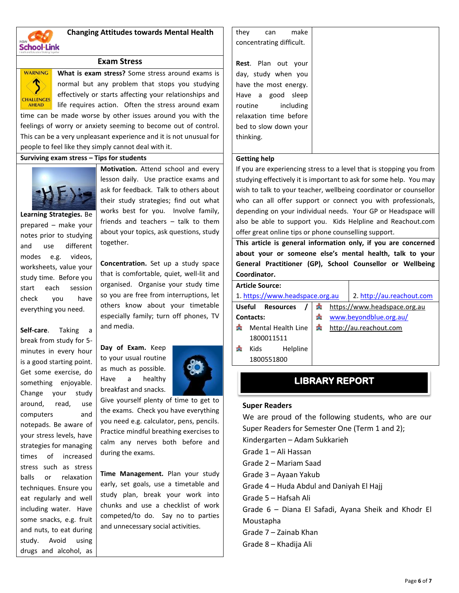

### **Changing Attitudes towards Mental Health**

#### **Exam Stress**



**What is exam stress?** Some stress around exams is normal but any problem that stops you studying effectively or starts affecting your relationships and life requires action. Often the stress around exam time can be made worse by other issues around you with the

feelings of worry or anxiety seeming to become out of control. This can be a very unpleasant experience and it is not unusual for people to feel like they simply cannot deal with it.

#### **Surviving exam stress – Tips for students**



**Learning Strategies.** Be prepared – make your notes prior to studying and use different modes e.g. videos, worksheets, value your study time. Before you start each session check you have everything you need.

**Self-care**. Taking a break from study for 5 minutes in every hour is a good starting point. Get some exercise, do something enjoyable. Change your study around, read, use computers and notepads. Be aware of your stress levels, have strategies for managing times of increased stress such as stress balls or relaxation techniques. Ensure you eat regularly and well including water. Have some snacks, e.g. fruit and nuts, to eat during study. Avoid using drugs and alcohol, as **Motivation.** Attend school and every lesson daily. Use practice exams and ask for feedback. Talk to others about their study strategies; find out what works best for you. Involve family, friends and teachers – talk to them about your topics, ask questions, study together.

**Concentration.** Set up a study space that is comfortable, quiet, well-lit and organised. Organise your study time so you are free from interruptions, let others know about your timetable especially family; turn off phones, TV and media.

**Day of Exam.** Keep to your usual routine as much as possible. Have a healthy breakfast and snacks.



Give yourself plenty of time to get to the exams. Check you have everything you need e.g. calculator, pens, pencils. Practice mindful breathing exercises to calm any nerves both before and during the exams.

**Time Management.** Plan your study early, set goals, use a timetable and study plan, break your work into chunks and use a checklist of work competed/to do. Say no to parties and unnecessary social activities.

| they                     | can                    | make      |
|--------------------------|------------------------|-----------|
| concentrating difficult. |                        |           |
|                          |                        |           |
|                          | Rest. Plan out your    |           |
|                          | day, study when you    |           |
|                          | have the most energy.  |           |
|                          | Have a good sleep      |           |
| routine                  |                        | including |
|                          | relaxation time before |           |
|                          | bed to slow down your  |           |
| thinking.                |                        |           |
|                          |                        |           |

#### **Getting help**

If you are experiencing stress to a level that is stopping you from studying effectively it is important to ask for some help. You may wish to talk to your teacher, wellbeing coordinator or counsellor who can all offer support or connect you with professionals, depending on your individual needs. Your GP or Headspace will also be able to support you. Kids Helpline and Reachout.com offer great online tips or phone counselling support.

**This article is general information only, if you are concerned about your or someone else's mental health, talk to your General Practitioner (GP), School Counsellor or Wellbeing Coordinator.** 

| <b>Article Source:</b> |      |                                 |   |  |                              |
|------------------------|------|---------------------------------|---|--|------------------------------|
|                        |      | 1. https://www.headspace.org.au |   |  | 2. http://au.reachout.com    |
| <b>Useful</b>          |      | <b>Resources</b>                |   |  | https://www.headspace.org.au |
| Contacts:              |      |                                 | Å |  | www.beyondblue.org.au/       |
| 重                      |      | Mental Health Line              | å |  | http://au.reachout.com       |
| 1800011511             |      |                                 |   |  |                              |
| œ                      | Kids | Helpline                        |   |  |                              |
| 1800551800             |      |                                 |   |  |                              |

#### **LIBRARY REPORT**

#### **Super Readers**

We are proud of the following students, who are our Super Readers for Semester One (Term 1 and 2); Kindergarten – Adam Sukkarieh Grade 1 – Ali Hassan Grade 2 – Mariam Saad Grade 3 – Ayaan Yakub Grade 4 – Huda Abdul and Daniyah El Hajj Grade 5 – Hafsah Ali Grade 6 – Diana El Safadi, Ayana Sheik and Khodr El Moustapha Grade 7 – Zainab Khan Grade 8 – Khadija Ali